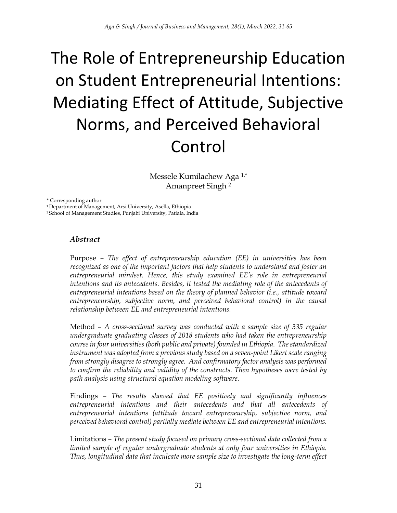# The Role of Entrepreneurship Education on Student Entrepreneurial Intentions: Mediating Effect of Attitude, Subjective Norms, and Perceived Behavioral Control

Messele Kumilachew Aga 1,\* Amanpreet Singh <sup>2</sup>

\_\_\_\_\_\_\_\_\_\_\_\_\_\_\_\_\_\_\_\_\_\_\_\_\_\_\_ \* Corresponding author

<sup>1</sup> Department of Management, Arsi University, Asella, Ethiopia

<sup>2</sup>School of Management Studies, Punjabi University, Patiala, India

#### *Abstract*

Purpose *– The effect of entrepreneurship education (EE) in universities has been recognized as one of the important factors that help students to understand and foster an entrepreneurial mindset. Hence, this study examined EE's role in entrepreneurial intentions and its antecedents. Besides, it tested the mediating role of the antecedents of entrepreneurial intentions based on the theory of planned behavior (i.e., attitude toward entrepreneurship, subjective norm, and perceived behavioral control) in the causal relationship between EE and entrepreneurial intentions.*

Method *– A cross-sectional survey was conducted with a sample size of 335 regular undergraduate graduating classes of 2018 students who had taken the entrepreneurship course in four universities (both public and private) founded in Ethiopia. The standardized instrument was adopted from a previous study based on a seven-point Likert scale ranging from strongly disagree to strongly agree. And confirmatory factor analysis was performed to confirm the reliability and validity of the constructs. Then hypotheses were tested by path analysis using structural equation modeling software.*

Findings *– The results showed that EE positively and significantly influences entrepreneurial intentions and their antecedents and that all antecedents of entrepreneurial intentions (attitude toward entrepreneurship, subjective norm, and perceived behavioral control) partially mediate between EE and entrepreneurial intentions.* 

Limitations *– The present study focused on primary cross-sectional data collected from a limited sample of regular undergraduate students at only four universities in Ethiopia. Thus, longitudinal data that inculcate more sample size to investigate the long-term effect*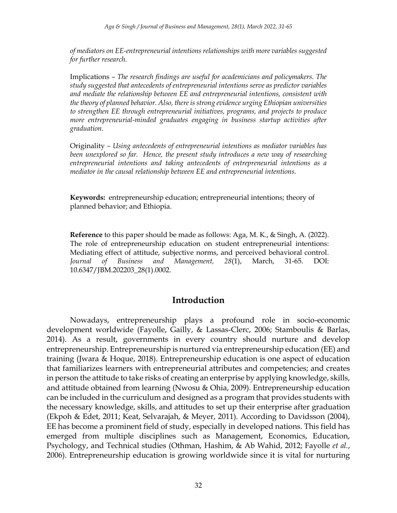*of mediators on EE-entrepreneurial intentions relationships with more variables suggested for further research.*

Implications *– The research findings are useful for academicians and policymakers. The study suggested that antecedents of entrepreneurial intentions serve as predictor variables and mediate the relationship between EE and entrepreneurial intentions, consistent with the theory of planned behavior. Also, there is strong evidence urging Ethiopian universities to strengthen EE through entrepreneurial initiatives, programs, and projects to produce more entrepreneurial-minded graduates engaging in business startup activities after graduation.*

Originality *– Using antecedents of entrepreneurial intentions as mediator variables has been unexplored so far. Hence, the present study introduces a new way of researching entrepreneurial intentions and taking antecedents of entrepreneurial intentions as a mediator in the causal relationship between EE and entrepreneurial intentions.*

**Keywords:** entrepreneurship education; entrepreneurial intentions; theory of planned behavior; and Ethiopia.

**Reference** to this paper should be made as follows: Aga, M. K., & Singh, A. (2022). The role of entrepreneurship education on student entrepreneurial intentions: Mediating effect of attitude, subjective norms, and perceived behavioral control. *Journal of Business and Management, 28*(1), March, 31-65. DOI: 10.6347/JBM.202203\_28(1).0002.

#### **Introduction**

Nowadays, entrepreneurship plays a profound role in socio-economic development worldwide (Fayolle, Gailly, & Lassas-Clerc, 2006; Stamboulis & Barlas, 2014). As a result, governments in every country should nurture and develop entrepreneurship. Entrepreneurship is nurtured via entrepreneurship education (EE) and training (Jwara & Hoque, 2018). Entrepreneurship education is one aspect of education that familiarizes learners with entrepreneurial attributes and competencies; and creates in person the attitude to take risks of creating an enterprise by applying knowledge, skills, and attitude obtained from learning (Nwosu & Ohia, 2009). Entrepreneurship education can be included in the curriculum and designed as a program that provides students with the necessary knowledge, skills, and attitudes to set up their enterprise after graduation (Ekpoh & Edet, 2011; Keat, Selvarajah, & Meyer, 2011). According to Davidsson (2004), EE has become a prominent field of study, especially in developed nations. This field has emerged from multiple disciplines such as Management, Economics, Education, Psychology, and Technical studies (Othman, Hashim, & Ab Wahid, 2012; Fayolle *et al.*, 2006). Entrepreneurship education is growing worldwide since it is vital for nurturing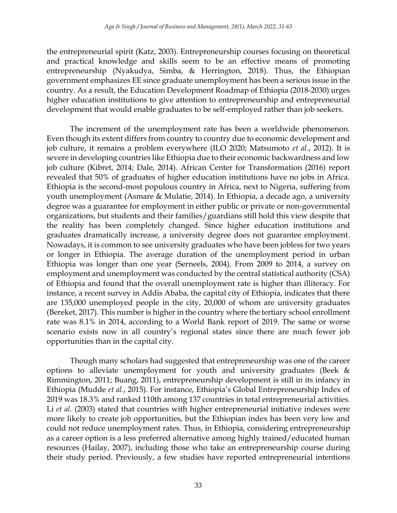the entrepreneurial spirit (Katz, 2003). Entrepreneurship courses focusing on theoretical and practical knowledge and skills seem to be an effective means of promoting entrepreneurship (Nyakudya, Simba, & Herrington, 2018). Thus, the Ethiopian government emphasizes EE since graduate unemployment has been a serious issue in the country. As a result, the Education Development Roadmap of Ethiopia (2018-2030) urges higher education institutions to give attention to entrepreneurship and entrepreneurial development that would enable graduates to be self-employed rather than job seekers.

The increment of the unemployment rate has been a worldwide phenomenon. Even though its extent differs from country to country due to economic development and job culture, it remains a problem everywhere (ILO 2020; Matsumoto *et al.*, 2012). It is severe in developing countries like Ethiopia due to their economic backwardness and low job culture (Kibret, 2014; Dale, 2014). African Center for Transformation (2016) report revealed that 50% of graduates of higher education institutions have no jobs in Africa. Ethiopia is the second-most populous country in Africa, next to Nigeria, suffering from youth unemployment (Asmare & Mulatie, 2014). In Ethiopia, a decade ago, a university degree was a guarantee for employment in either public or private or non-governmental organizations, but students and their families/guardians still hold this view despite that the reality has been completely changed. Since higher education institutions and graduates dramatically increase, a university degree does not guarantee employment. Nowadays, it is common to see university graduates who have been jobless for two years or longer in Ethiopia. The average duration of the unemployment period in urban Ethiopia was longer than one year (Serneels, 2004). From 2009 to 2014, a survey on employment and unemployment was conducted by the central statistical authority (CSA) of Ethiopia and found that the overall unemployment rate is higher than illiteracy. For instance, a recent survey in Addis Ababa, the capital city of Ethiopia, indicates that there are 135,000 unemployed people in the city, 20,000 of whom are university graduates (Bereket, 2017). This number is higher in the country where the tertiary school enrollment rate was 8.1% in 2014, according to a World Bank report of 2019. The same or worse scenario exists now in all country's regional states since there are much fewer job opportunities than in the capital city.

Though many scholars had suggested that entrepreneurship was one of the career options to alleviate unemployment for youth and university graduates (Beek & Rimmington, 2011; Buang, 2011), entrepreneurship development is still in its infancy in Ethiopia (Mudde *et al.*, 2015). For instance, Ethiopia's Global Entrepreneurship Index of 2019 was 18.3% and ranked 110th among 137 countries in total entrepreneurial activities. Li *et al.* (2003) stated that countries with higher entrepreneurial initiative indexes were more likely to create job opportunities, but the Ethiopian index has been very low and could not reduce unemployment rates. Thus, in Ethiopia, considering entrepreneurship as a career option is a less preferred alternative among highly trained/educated human resources (Hailay, 2007), including those who take an entrepreneurship course during their study period. Previously, a few studies have reported entrepreneurial intentions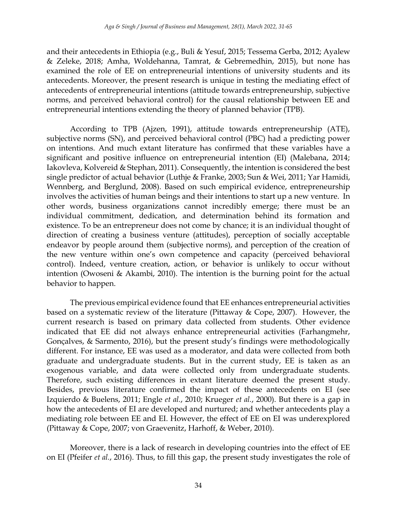and their antecedents in Ethiopia (e.g., Buli & Yesuf, 2015; Tessema Gerba, 2012; Ayalew & Zeleke, 2018; Amha, Woldehanna, Tamrat, & Gebremedhin, 2015), but none has examined the role of EE on entrepreneurial intentions of university students and its antecedents. Moreover, the present research is unique in testing the mediating effect of antecedents of entrepreneurial intentions (attitude towards entrepreneurship, subjective norms, and perceived behavioral control) for the causal relationship between EE and entrepreneurial intentions extending the theory of planned behavior (TPB).

According to TPB (Ajzen, 1991), attitude towards entrepreneurship (ATE), subjective norms (SN), and perceived behavioral control (PBC) had a predicting power on intentions. And much extant literature has confirmed that these variables have a significant and positive influence on entrepreneurial intention (EI) (Malebana, 2014; Iakovleva, Kolvereid & Stephan, 2011). Consequently, the intention is considered the best single predictor of actual behavior (Luthje & Franke, 2003; Sun & Wei, 2011; Yar Hamidi, Wennberg, and Berglund, 2008). Based on such empirical evidence, entrepreneurship involves the activities of human beings and their intentions to start up a new venture. In other words, business organizations cannot incredibly emerge; there must be an individual commitment, dedication, and determination behind its formation and existence. To be an entrepreneur does not come by chance; it is an individual thought of direction of creating a business venture (attitudes), perception of socially acceptable endeavor by people around them (subjective norms), and perception of the creation of the new venture within one's own competence and capacity (perceived behavioral control). Indeed, venture creation, action, or behavior is unlikely to occur without intention (Owoseni & Akambi, 2010). The intention is the burning point for the actual behavior to happen.

The previous empirical evidence found that EE enhances entrepreneurial activities based on a systematic review of the literature (Pittaway & Cope, 2007). However, the current research is based on primary data collected from students. Other evidence indicated that EE did not always enhance entrepreneurial activities (Farhangmehr, Gonçalves, & Sarmento, 2016), but the present study's findings were methodologically different. For instance, EE was used as a moderator, and data were collected from both graduate and undergraduate students. But in the current study, EE is taken as an exogenous variable, and data were collected only from undergraduate students. Therefore, such existing differences in extant literature deemed the present study. Besides, previous literature confirmed the impact of these antecedents on EI (see Izquierdo & Buelens, 2011; Engle *et al.*, 2010; Krueger *et al.*, 2000). But there is a gap in how the antecedents of EI are developed and nurtured; and whether antecedents play a mediating role between EE and EI. However, the effect of EE on EI was underexplored (Pittaway & Cope, 2007; von Graevenitz, Harhoff, & Weber, 2010).

Moreover, there is a lack of research in developing countries into the effect of EE on EI (Pfeifer *et al.*, 2016). Thus, to fill this gap, the present study investigates the role of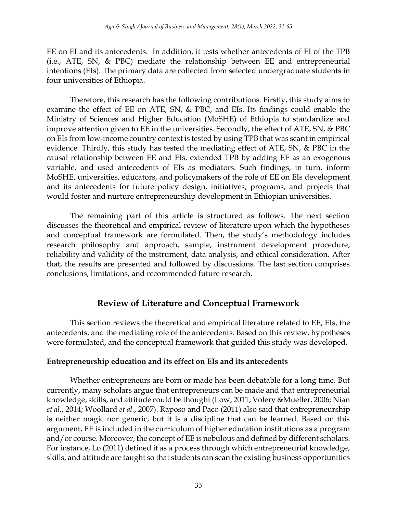EE on EI and its antecedents. In addition, it tests whether antecedents of EI of the TPB (i.e., ATE, SN, & PBC) mediate the relationship between EE and entrepreneurial intentions (EIs). The primary data are collected from selected undergraduate students in four universities of Ethiopia.

Therefore, this research has the following contributions. Firstly, this study aims to examine the effect of EE on ATE, SN, & PBC, and EIs. Its findings could enable the Ministry of Sciences and Higher Education (MoSHE) of Ethiopia to standardize and improve attention given to EE in the universities. Secondly, the effect of ATE, SN, & PBC on EIs from low-income country context is tested by using TPB that was scant in empirical evidence. Thirdly, this study has tested the mediating effect of ATE, SN, & PBC in the causal relationship between EE and EIs, extended TPB by adding EE as an exogenous variable, and used antecedents of EIs as mediators. Such findings, in turn, inform MoSHE, universities, educators, and policymakers of the role of EE on EIs development and its antecedents for future policy design, initiatives, programs, and projects that would foster and nurture entrepreneurship development in Ethiopian universities.

The remaining part of this article is structured as follows. The next section discusses the theoretical and empirical review of literature upon which the hypotheses and conceptual framework are formulated. Then, the study's methodology includes research philosophy and approach, sample, instrument development procedure, reliability and validity of the instrument, data analysis, and ethical consideration. After that, the results are presented and followed by discussions. The last section comprises conclusions, limitations, and recommended future research.

# **Review of Literature and Conceptual Framework**

This section reviews the theoretical and empirical literature related to EE, EIs, the antecedents, and the mediating role of the antecedents. Based on this review, hypotheses were formulated, and the conceptual framework that guided this study was developed.

#### **Entrepreneurship education and its effect on EIs and its antecedents**

Whether entrepreneurs are born or made has been debatable for a long time. But currently, many scholars argue that entrepreneurs can be made and that entrepreneurial knowledge, skills, and attitude could be thought (Low, 2011; Volery &Mueller, 2006; Nian *et al.*, 2014; Woollard *et al.*, 2007). Raposo and Paco (2011) also said that entrepreneurship is neither magic nor generic, but it is a discipline that can be learned. Based on this argument, EE is included in the curriculum of higher education institutions as a program and/or course. Moreover, the concept of EE is nebulous and defined by different scholars. For instance, Lo (2011) defined it as a process through which entrepreneurial knowledge, skills, and attitude are taught so that students can scan the existing business opportunities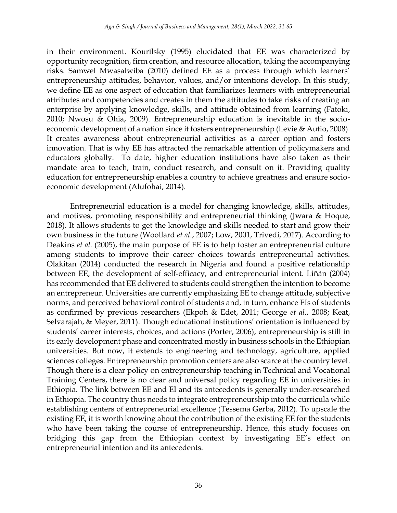in their environment. Kourilsky (1995) elucidated that EE was characterized by opportunity recognition, firm creation, and resource allocation, taking the accompanying risks. Samwel Mwasalwiba (2010) defined EE as a process through which learners' entrepreneurship attitudes, behavior, values, and/or intentions develop. In this study, we define EE as one aspect of education that familiarizes learners with entrepreneurial attributes and competencies and creates in them the attitudes to take risks of creating an enterprise by applying knowledge, skills, and attitude obtained from learning (Fatoki, 2010; Nwosu & Ohia, 2009). Entrepreneurship education is inevitable in the socioeconomic development of a nation since it fosters entrepreneurship (Levie & Autio, 2008). It creates awareness about entrepreneurial activities as a career option and fosters innovation. That is why EE has attracted the remarkable attention of policymakers and educators globally. To date, higher education institutions have also taken as their mandate area to teach, train, conduct research, and consult on it. Providing quality education for entrepreneurship enables a country to achieve greatness and ensure socioeconomic development (Alufohai, 2014).

Entrepreneurial education is a model for changing knowledge, skills, attitudes, and motives, promoting responsibility and entrepreneurial thinking (Jwara & Hoque, 2018). It allows students to get the knowledge and skills needed to start and grow their own business in the future (Woollard *et al.*, 2007; Low, 2001, Trivedi, 2017). According to Deakins *et al.* (2005), the main purpose of EE is to help foster an entrepreneurial culture among students to improve their career choices towards entrepreneurial activities. Olakitan (2014) conducted the research in Nigeria and found a positive relationship between EE, the development of self-efficacy, and entrepreneurial intent. Liñán (2004) has recommended that EE delivered to students could strengthen the intention to become an entrepreneur. Universities are currently emphasizing EE to change attitude, subjective norms, and perceived behavioral control of students and, in turn, enhance EIs of students as confirmed by previous researchers (Ekpoh & Edet, 2011; George *et al.*, 2008; Keat, Selvarajah, & Meyer, 2011). Though educational institutions' orientation is influenced by students' career interests, choices, and actions (Porter, 2006), entrepreneurship is still in its early development phase and concentrated mostly in business schools in the Ethiopian universities. But now, it extends to engineering and technology, agriculture, applied sciences colleges. Entrepreneurship promotion centers are also scarce at the country level. Though there is a clear policy on entrepreneurship teaching in Technical and Vocational Training Centers, there is no clear and universal policy regarding EE in universities in Ethiopia. The link between EE and EI and its antecedents is generally under-researched in Ethiopia. The country thus needs to integrate entrepreneurship into the curricula while establishing centers of entrepreneurial excellence (Tessema Gerba, 2012). To upscale the existing EE, it is worth knowing about the contribution of the existing EE for the students who have been taking the course of entrepreneurship. Hence, this study focuses on bridging this gap from the Ethiopian context by investigating EE's effect on entrepreneurial intention and its antecedents.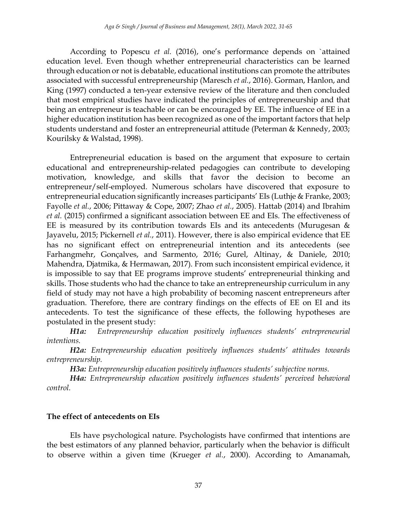According to Popescu *et al.* (2016), one's performance depends on `attained education level. Even though whether entrepreneurial characteristics can be learned through education or not is debatable, educational institutions can promote the attributes associated with successful entrepreneurship (Maresch *et al.*, 2016). Gorman, Hanlon, and King (1997) conducted a ten-year extensive review of the literature and then concluded that most empirical studies have indicated the principles of entrepreneurship and that being an entrepreneur is teachable or can be encouraged by EE. The influence of EE in a higher education institution has been recognized as one of the important factors that help students understand and foster an entrepreneurial attitude (Peterman & Kennedy, 2003; Kourilsky & Walstad, 1998).

Entrepreneurial education is based on the argument that exposure to certain educational and entrepreneurship-related pedagogies can contribute to developing motivation, knowledge, and skills that favor the decision to become an entrepreneur/self-employed. Numerous scholars have discovered that exposure to entrepreneurial education significantly increases participants' EIs (Luthje & Franke, 2003; Fayolle *et al.*, 2006; Pittaway & Cope, 2007; Zhao *et al.*, 2005). Hattab (2014) and Ibrahim *et al.* (2015) confirmed a significant association between EE and EIs. The effectiveness of EE is measured by its contribution towards EIs and its antecedents (Murugesan  $\&$ Jayavelu, 2015; Pickernell *et al.*, 2011). However, there is also empirical evidence that EE has no significant effect on entrepreneurial intention and its antecedents (see Farhangmehr, Gonçalves, and Sarmento, 2016; Gurel, Altinay, & Daniele, 2010; Mahendra, Djatmika, & Hermawan, 2017). From such inconsistent empirical evidence, it is impossible to say that EE programs improve students' entrepreneurial thinking and skills. Those students who had the chance to take an entrepreneurship curriculum in any field of study may not have a high probability of becoming nascent entrepreneurs after graduation. Therefore, there are contrary findings on the effects of EE on EI and its antecedents. To test the significance of these effects, the following hypotheses are postulated in the present study:

*H1a: Entrepreneurship education positively influences students' entrepreneurial intentions.* 

*H2a: Entrepreneurship education positively influences students' attitudes towards entrepreneurship.* 

*H3a: Entrepreneurship education positively influences students' subjective norms.*

*H4a: Entrepreneurship education positively influences students' perceived behavioral control.*

#### **The effect of antecedents on EIs**

EIs have psychological nature. Psychologists have confirmed that intentions are the best estimators of any planned behavior, particularly when the behavior is difficult to observe within a given time (Krueger *et al.*, 2000). According to Amanamah,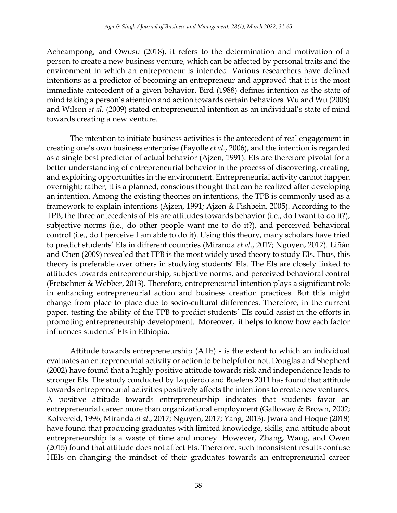Acheampong, and Owusu (2018), it refers to the determination and motivation of a person to create a new business venture, which can be affected by personal traits and the environment in which an entrepreneur is intended. Various researchers have defined intentions as a predictor of becoming an entrepreneur and approved that it is the most immediate antecedent of a given behavior. Bird (1988) defines intention as the state of mind taking a person's attention and action towards certain behaviors. Wu and Wu (2008) and Wilson *et al.* (2009) stated entrepreneurial intention as an individual's state of mind towards creating a new venture.

The intention to initiate business activities is the antecedent of real engagement in creating one's own business enterprise (Fayolle *et al.*, 2006), and the intention is regarded as a single best predictor of actual behavior (Ajzen, 1991). EIs are therefore pivotal for a better understanding of entrepreneurial behavior in the process of discovering, creating, and exploiting opportunities in the environment. Entrepreneurial activity cannot happen overnight; rather, it is a planned, conscious thought that can be realized after developing an intention. Among the existing theories on intentions, the TPB is commonly used as a framework to explain intentions (Ajzen, 1991; Ajzen & Fishbein, 2005). According to the TPB, the three antecedents of EIs are attitudes towards behavior (i.e., do I want to do it?), subjective norms (i.e., do other people want me to do it?), and perceived behavioral control (i.e., do I perceive I am able to do it). Using this theory, many scholars have tried to predict students' EIs in different countries (Miranda *et al.*, 2017; Nguyen, 2017). Liñán and Chen (2009) revealed that TPB is the most widely used theory to study EIs. Thus, this theory is preferable over others in studying students' EIs. The EIs are closely linked to attitudes towards entrepreneurship, subjective norms, and perceived behavioral control (Fretschner & Webber, 2013). Therefore, entrepreneurial intention plays a significant role in enhancing entrepreneurial action and business creation practices. But this might change from place to place due to socio-cultural differences. Therefore, in the current paper, testing the ability of the TPB to predict students' EIs could assist in the efforts in promoting entrepreneurship development. Moreover, it helps to know how each factor influences students' EIs in Ethiopia.

Attitude towards entrepreneurship (ATE) - is the extent to which an individual evaluates an entrepreneurial activity or action to be helpful or not. Douglas and Shepherd (2002) have found that a highly positive attitude towards risk and independence leads to stronger EIs. The study conducted by Izquierdo and Buelens 2011 has found that attitude towards entrepreneurial activities positively affects the intentions to create new ventures. A positive attitude towards entrepreneurship indicates that students favor an entrepreneurial career more than organizational employment (Galloway & Brown, 2002; Kolvereid, 1996; Miranda *et al.*, 2017; Nguyen, 2017; Yang, 2013). Jwara and Hoque (2018) have found that producing graduates with limited knowledge, skills, and attitude about entrepreneurship is a waste of time and money. However, Zhang, Wang, and Owen (2015) found that attitude does not affect EIs. Therefore, such inconsistent results confuse HEIs on changing the mindset of their graduates towards an entrepreneurial career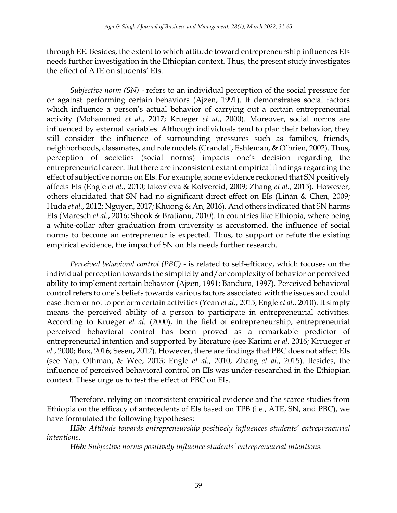through EE. Besides, the extent to which attitude toward entrepreneurship influences EIs needs further investigation in the Ethiopian context. Thus, the present study investigates the effect of ATE on students' EIs.

*Subjective norm (SN)* - refers to an individual perception of the social pressure for or against performing certain behaviors (Ajzen, 1991). It demonstrates social factors which influence a person's actual behavior of carrying out a certain entrepreneurial activity (Mohammed *et al.*, 2017; Krueger *et al.*, 2000). Moreover, social norms are influenced by external variables. Although individuals tend to plan their behavior, they still consider the influence of surrounding pressures such as families, friends, neighborhoods, classmates, and role models (Crandall, Eshleman, & O'brien, 2002). Thus, perception of societies (social norms) impacts one's decision regarding the entrepreneurial career. But there are inconsistent extant empirical findings regarding the effect of subjective norms on EIs. For example, some evidence reckoned that SN positively affects EIs (Engle *et al.*, 2010; Iakovleva & Kolvereid, 2009; Zhang *et al.*, 2015). However, others elucidated that SN had no significant direct effect on EIs (Liñán & Chen, 2009; Huda *et al.*, 2012; Nguyen, 2017; Khuong & An, 2016). And others indicated that SN harms EIs (Maresch *et al.*, 2016; Shook & Bratianu, 2010). In countries like Ethiopia, where being a white-collar after graduation from university is accustomed, the influence of social norms to become an entrepreneur is expected. Thus, to support or refute the existing empirical evidence, the impact of SN on EIs needs further research.

*Perceived behavioral control (PBC)* - is related to self-efficacy, which focuses on the individual perception towards the simplicity and/or complexity of behavior or perceived ability to implement certain behavior (Ajzen, 1991; Bandura, 1997). Perceived behavioral control refers to one's beliefs towards various factors associated with the issues and could ease them or not to perform certain activities (Yean *et al.*, 2015; Engle *et al.*, 2010). It simply means the perceived ability of a person to participate in entrepreneurial activities. According to Krueger *et al.* (2000), in the field of entrepreneurship, entrepreneurial perceived behavioral control has been proved as a remarkable predictor of entrepreneurial intention and supported by literature (see Karimi *et al.* 2016; Krrueger *et al.*, 2000; Bux, 2016; Sesen, 2012). However, there are findings that PBC does not affect EIs (see Yap, Othman, & Wee, 2013; Engle *et al.*, 2010; Zhang *et al.*, 2015). Besides, the influence of perceived behavioral control on EIs was under-researched in the Ethiopian context. These urge us to test the effect of PBC on EIs.

Therefore, relying on inconsistent empirical evidence and the scarce studies from Ethiopia on the efficacy of antecedents of EIs based on TPB (i.e., ATE, SN, and PBC), we have formulated the following hypotheses:

*H5b: Attitude towards entrepreneurship positively influences students' entrepreneurial intentions.*

*H6b: Subjective norms positively influence students' entrepreneurial intentions.*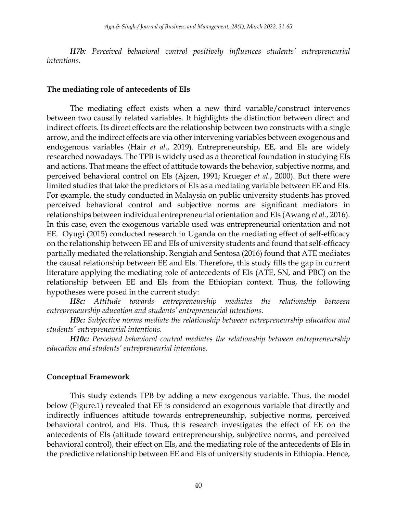*H7b: Perceived behavioral control positively influences students' entrepreneurial intentions.*

#### **The mediating role of antecedents of EIs**

The mediating effect exists when a new third variable/construct intervenes between two causally related variables. It highlights the distinction between direct and indirect effects. Its direct effects are the relationship between two constructs with a single arrow, and the indirect effects are via other intervening variables between exogenous and endogenous variables (Hair *et al.*, 2019). Entrepreneurship, EE, and EIs are widely researched nowadays. The TPB is widely used as a theoretical foundation in studying EIs and actions. That means the effect of attitude towards the behavior, subjective norms, and perceived behavioral control on EIs (Ajzen, 1991; Krueger *et al.*, 2000). But there were limited studies that take the predictors of EIs as a mediating variable between EE and EIs. For example, the study conducted in Malaysia on public university students has proved perceived behavioral control and subjective norms are significant mediators in relationships between individual entrepreneurial orientation and EIs (Awang *et al.*, 2016). In this case, even the exogenous variable used was entrepreneurial orientation and not EE. Oyugi (2015) conducted research in Uganda on the mediating effect of self-efficacy on the relationship between EE and EIs of university students and found that self-efficacy partially mediated the relationship. Rengiah and Sentosa (2016) found that ATE mediates the causal relationship between EE and EIs. Therefore, this study fills the gap in current literature applying the mediating role of antecedents of EIs (ATE, SN, and PBC) on the relationship between EE and EIs from the Ethiopian context. Thus, the following hypotheses were posed in the current study:

*H8c: Attitude towards entrepreneurship mediates the relationship between entrepreneurship education and students' entrepreneurial intentions.*

*H9c: Subjective norms mediate the relationship between entrepreneurship education and students' entrepreneurial intentions.*

*H10c: Perceived behavioral control mediates the relationship between entrepreneurship education and students' entrepreneurial intentions.*

#### **Conceptual Framework**

This study extends TPB by adding a new exogenous variable. Thus, the model below (Figure.1) revealed that EE is considered an exogenous variable that directly and indirectly influences attitude towards entrepreneurship, subjective norms, perceived behavioral control, and EIs. Thus, this research investigates the effect of EE on the antecedents of EIs (attitude toward entrepreneurship, subjective norms, and perceived behavioral control), their effect on EIs, and the mediating role of the antecedents of EIs in the predictive relationship between EE and EIs of university students in Ethiopia. Hence,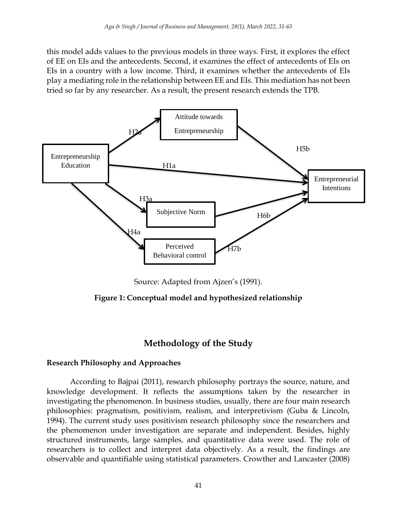this model adds values to the previous models in three ways. First, it explores the effect of EE on EIs and the antecedents. Second, it examines the effect of antecedents of EIs on EIs in a country with a low income. Third, it examines whether the antecedents of EIs play a mediating role in the relationship between EE and EIs. This mediation has not been tried so far by any researcher. As a result, the present research extends the TPB.



Source: Adapted from Ajzen's (1991).

**Figure 1: Conceptual model and hypothesized relationship**

# **Methodology of the Study**

#### **Research Philosophy and Approaches**

According to Bajpai (2011), research philosophy portrays the source, nature, and knowledge development. It reflects the assumptions taken by the researcher in investigating the phenomenon. In business studies, usually, there are four main research philosophies: pragmatism, positivism, realism, and interpretivism (Guba & Lincoln, 1994). The current study uses positivism research philosophy since the researchers and the phenomenon under investigation are separate and independent. Besides, highly structured instruments, large samples, and quantitative data were used. The role of researchers is to collect and interpret data objectively. As a result, the findings are observable and quantifiable using statistical parameters. Crowther and Lancaster (2008)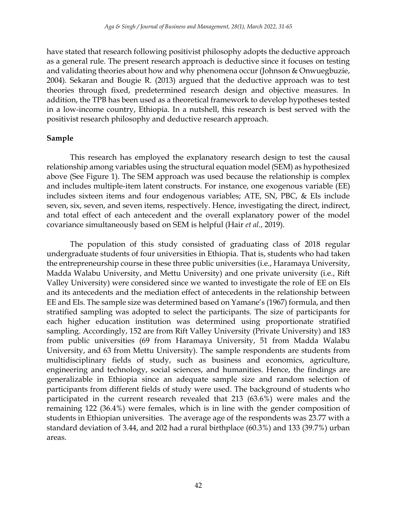have stated that research following positivist philosophy adopts the deductive approach as a general rule. The present research approach is deductive since it focuses on testing and validating theories about how and why phenomena occur (Johnson & Onwuegbuzie, 2004). Sekaran and Bougie R. (2013) argued that the deductive approach was to test theories through fixed, predetermined research design and objective measures. In addition, the TPB has been used as a theoretical framework to develop hypotheses tested in a low-income country, Ethiopia. In a nutshell, this research is best served with the positivist research philosophy and deductive research approach.

#### **Sample**

This research has employed the explanatory research design to test the causal relationship among variables using the structural equation model (SEM) as hypothesized above (See Figure 1). The SEM approach was used because the relationship is complex and includes multiple-item latent constructs. For instance, one exogenous variable (EE) includes sixteen items and four endogenous variables; ATE, SN, PBC, & EIs include seven, six, seven, and seven items, respectively. Hence, investigating the direct, indirect, and total effect of each antecedent and the overall explanatory power of the model covariance simultaneously based on SEM is helpful (Hair *et al.*, 2019).

The population of this study consisted of graduating class of 2018 regular undergraduate students of four universities in Ethiopia. That is, students who had taken the entrepreneurship course in these three public universities (i.e., Haramaya University, Madda Walabu University, and Mettu University) and one private university (i.e., Rift Valley University) were considered since we wanted to investigate the role of EE on EIs and its antecedents and the mediation effect of antecedents in the relationship between EE and EIs. The sample size was determined based on Yamane's (1967) formula, and then stratified sampling was adopted to select the participants. The size of participants for each higher education institution was determined using proportionate stratified sampling. Accordingly, 152 are from Rift Valley University (Private University) and 183 from public universities (69 from Haramaya University, 51 from Madda Walabu University, and 63 from Mettu University). The sample respondents are students from multidisciplinary fields of study, such as business and economics, agriculture, engineering and technology, social sciences, and humanities. Hence, the findings are generalizable in Ethiopia since an adequate sample size and random selection of participants from different fields of study were used. The background of students who participated in the current research revealed that 213 (63.6%) were males and the remaining 122 (36.4%) were females, which is in line with the gender composition of students in Ethiopian universities. The average age of the respondents was 23.77 with a standard deviation of 3.44, and 202 had a rural birthplace (60.3%) and 133 (39.7%) urban areas.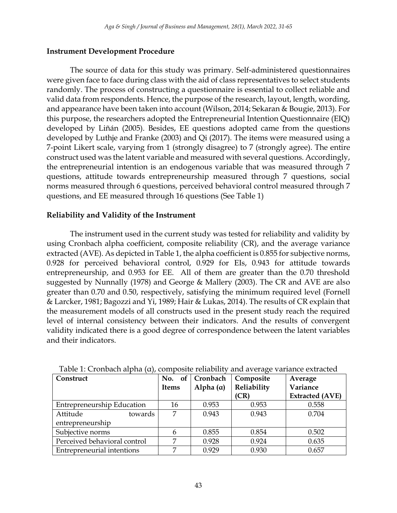#### **Instrument Development Procedure**

The source of data for this study was primary. Self-administered questionnaires were given face to face during class with the aid of class representatives to select students randomly. The process of constructing a questionnaire is essential to collect reliable and valid data from respondents. Hence, the purpose of the research, layout, length, wording, and appearance have been taken into account (Wilson, 2014; Sekaran & Bougie, 2013). For this purpose, the researchers adopted the Entrepreneurial Intention Questionnaire (EIQ) developed by Liñán (2005). Besides, EE questions adopted came from the questions developed by Luthje and Franke (2003) and Qi (2017). The items were measured using a 7-point Likert scale, varying from 1 (strongly disagree) to 7 (strongly agree). The entire construct used was the latent variable and measured with several questions. Accordingly, the entrepreneurial intention is an endogenous variable that was measured through 7 questions, attitude towards entrepreneurship measured through 7 questions, social norms measured through 6 questions, perceived behavioral control measured through 7 questions, and EE measured through 16 questions (See Table 1)

#### **Reliability and Validity of the Instrument**

The instrument used in the current study was tested for reliability and validity by using Cronbach alpha coefficient, composite reliability (CR), and the average variance extracted (AVE). As depicted in Table 1, the alpha coefficient is 0.855 for subjective norms, 0.928 for perceived behavioral control, 0.929 for EIs, 0.943 for attitude towards entrepreneurship, and 0.953 for EE. All of them are greater than the 0.70 threshold suggested by Nunnally (1978) and George & Mallery (2003). The CR and AVE are also greater than 0.70 and 0.50, respectively, satisfying the minimum required level (Fornell & Larcker, 1981; Bagozzi and Yi, 1989; Hair & Lukas, 2014). The results of CR explain that the measurement models of all constructs used in the present study reach the required level of internal consistency between their indicators. And the results of convergent validity indicated there is a good degree of correspondence between the latent variables and their indicators.

| Construct                         |                | No. of Cronbach  | Composite           | Average                            |  |
|-----------------------------------|----------------|------------------|---------------------|------------------------------------|--|
|                                   | <b>Items</b>   | Alpha $(\alpha)$ | Reliability<br>(CR) | Variance<br><b>Extracted (AVE)</b> |  |
|                                   |                |                  |                     |                                    |  |
| <b>Entrepreneurship Education</b> | 16             | 0.953            | 0.953               | 0.558                              |  |
| Attitude<br>towards               | 7              | 0.943            | 0.943               | 0.704                              |  |
| entrepreneurship                  |                |                  |                     |                                    |  |
| Subjective norms                  |                | 0.855            | 0.854               | 0.502                              |  |
| Perceived behavioral control      | $\overline{ }$ | 0.928            | 0.924               | 0.635                              |  |
| Entrepreneurial intentions        | ┍              | 0.929            | 0.930               | 0.657                              |  |

Table 1: Cronbach alpha (α), composite reliability and average variance extracted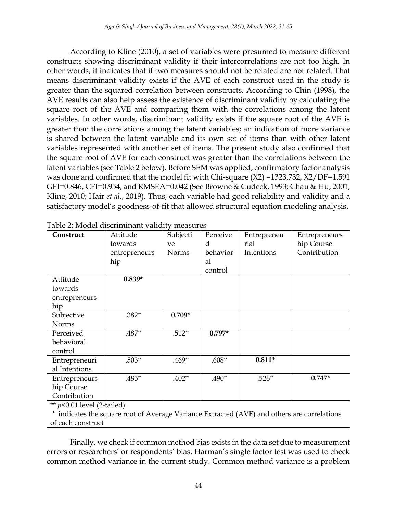According to Kline (2010), a set of variables were presumed to measure different constructs showing discriminant validity if their intercorrelations are not too high. In other words, it indicates that if two measures should not be related are not related. That means discriminant validity exists if the AVE of each construct used in the study is greater than the squared correlation between constructs. According to Chin (1998), the AVE results can also help assess the existence of discriminant validity by calculating the square root of the AVE and comparing them with the correlations among the latent variables. In other words, discriminant validity exists if the square root of the AVE is greater than the correlations among the latent variables; an indication of more variance is shared between the latent variable and its own set of items than with other latent variables represented with another set of items. The present study also confirmed that the square root of AVE for each construct was greater than the correlations between the latent variables (see Table 2 below). Before SEM was applied, confirmatory factor analysis was done and confirmed that the model fit with Chi-square (X2) =1323.732, X2/DF=1.591 GFI=0.846, CFI=0.954, and RMSEA=0.042 (See Browne & Cudeck, 1993; Chau & Hu, 2001; Kline, 2010; Hair *et al.*, 2019). Thus, each variable had good reliability and validity and a satisfactory model's goodness-of-fit that allowed structural equation modeling analysis.

| Construct                    | Attitude      | Subjecti | Perceive | Entrepreneu | Entrepreneurs |
|------------------------------|---------------|----------|----------|-------------|---------------|
|                              | towards       | ve       | d        | rial        | hip Course    |
|                              | entrepreneurs | Norms    | behavior | Intentions  | Contribution  |
|                              | hip           |          | al       |             |               |
|                              |               |          | control  |             |               |
| Attitude                     | $0.839*$      |          |          |             |               |
| towards                      |               |          |          |             |               |
| entrepreneurs                |               |          |          |             |               |
| hip                          |               |          |          |             |               |
| Subjective                   | $.382**$      | $0.709*$ |          |             |               |
| <b>Norms</b>                 |               |          |          |             |               |
| Perceived                    | .487**        | $.512**$ | $0.797*$ |             |               |
| behavioral                   |               |          |          |             |               |
| control                      |               |          |          |             |               |
| Entrepreneuri                | $.503**$      | $.469**$ | $.608**$ | $0.811*$    |               |
| al Intentions                |               |          |          |             |               |
| Entrepreneurs                | .485**        | $.402**$ | .490**   | $.526**$    | $0.747*$      |
| hip Course                   |               |          |          |             |               |
| Contribution                 |               |          |          |             |               |
| $\cdots$ $\alpha$ $\alpha$ 1 | $1/2$ $1/2$   |          |          |             |               |

Table 2: Model discriminant validity measures

\*\* *p<*0.01 level (2-tailed).

\* indicates the square root of Average Variance Extracted (AVE) and others are correlations of each construct

Finally, we check if common method bias exists in the data set due to measurement errors or researchers' or respondents' bias. Harman's single factor test was used to check common method variance in the current study. Common method variance is a problem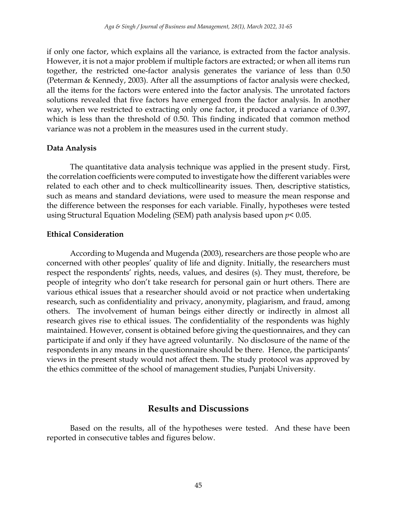if only one factor, which explains all the variance, is extracted from the factor analysis. However, it is not a major problem if multiple factors are extracted; or when all items run together, the restricted one-factor analysis generates the variance of less than 0.50 (Peterman & Kennedy, 2003). After all the assumptions of factor analysis were checked, all the items for the factors were entered into the factor analysis. The unrotated factors solutions revealed that five factors have emerged from the factor analysis. In another way, when we restricted to extracting only one factor, it produced a variance of 0.397, which is less than the threshold of 0.50. This finding indicated that common method variance was not a problem in the measures used in the current study.

#### **Data Analysis**

The quantitative data analysis technique was applied in the present study. First, the correlation coefficients were computed to investigate how the different variables were related to each other and to check multicollinearity issues. Then, descriptive statistics, such as means and standard deviations, were used to measure the mean response and the difference between the responses for each variable. Finally, hypotheses were tested using Structural Equation Modeling (SEM) path analysis based upon *p<* 0.05.

#### **Ethical Consideration**

According to Mugenda and Mugenda (2003), researchers are those people who are concerned with other peoples' quality of life and dignity. Initially, the researchers must respect the respondents' rights, needs, values, and desires (s). They must, therefore, be people of integrity who don't take research for personal gain or hurt others. There are various ethical issues that a researcher should avoid or not practice when undertaking research, such as confidentiality and privacy, anonymity, plagiarism, and fraud, among others. The involvement of human beings either directly or indirectly in almost all research gives rise to ethical issues. The confidentiality of the respondents was highly maintained. However, consent is obtained before giving the questionnaires, and they can participate if and only if they have agreed voluntarily. No disclosure of the name of the respondents in any means in the questionnaire should be there. Hence, the participants' views in the present study would not affect them. The study protocol was approved by the ethics committee of the school of management studies, Punjabi University.

## **Results and Discussions**

Based on the results, all of the hypotheses were tested. And these have been reported in consecutive tables and figures below.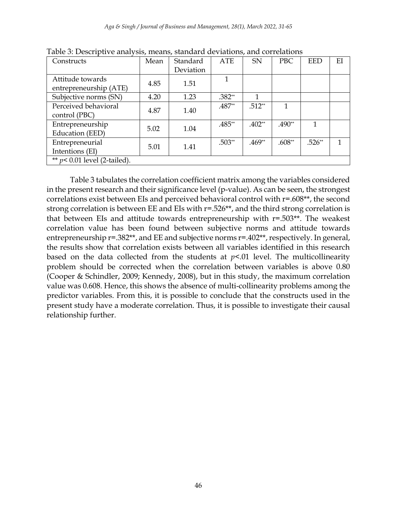| Constructs                      | Mean | Standard  | <b>ATE</b> | <b>SN</b> | PBC      | <b>EED</b> | ΕI |
|---------------------------------|------|-----------|------------|-----------|----------|------------|----|
|                                 |      | Deviation |            |           |          |            |    |
| Attitude towards                | 4.85 | 1.51      |            |           |          |            |    |
| entrepreneurship (ATE)          |      |           |            |           |          |            |    |
| Subjective norms (SN)           | 4.20 | 1.23      | $.382**$   | 1         |          |            |    |
| Perceived behavioral            | 4.87 | 1.40      | .487**     | $.512**$  |          |            |    |
| control (PBC)                   |      |           |            |           |          |            |    |
| Entrepreneurship                | 5.02 | 1.04      | .485**     | $.402**$  | .490**   |            |    |
| Education (EED)                 |      |           |            |           |          |            |    |
| Entrepreneurial                 | 5.01 | 1.41      | $.503**$   | $.469**$  | $.608**$ | $.526**$   |    |
| Intentions (EI)                 |      |           |            |           |          |            |    |
| ** $p$ < 0.01 level (2-tailed). |      |           |            |           |          |            |    |

Table 3: Descriptive analysis, means, standard deviations, and correlations

Table 3 tabulates the correlation coefficient matrix among the variables considered in the present research and their significance level (p-value). As can be seen, the strongest correlations exist between EIs and perceived behavioral control with r=.608\*\*, the second strong correlation is between EE and EIs with r=.526\*\*, and the third strong correlation is that between EIs and attitude towards entrepreneurship with  $r=0.503**$ . The weakest correlation value has been found between subjective norms and attitude towards entrepreneurship  $r=.382**$ , and EE and subjective norms  $r=.402**$ , respectively. In general, the results show that correlation exists between all variables identified in this research based on the data collected from the students at  $p<0$  level. The multicollinearity problem should be corrected when the correlation between variables is above 0.80 (Cooper & Schindler, 2009; Kennedy, 2008), but in this study, the maximum correlation value was 0.608. Hence, this shows the absence of multi-collinearity problems among the predictor variables. From this, it is possible to conclude that the constructs used in the present study have a moderate correlation. Thus, it is possible to investigate their causal relationship further.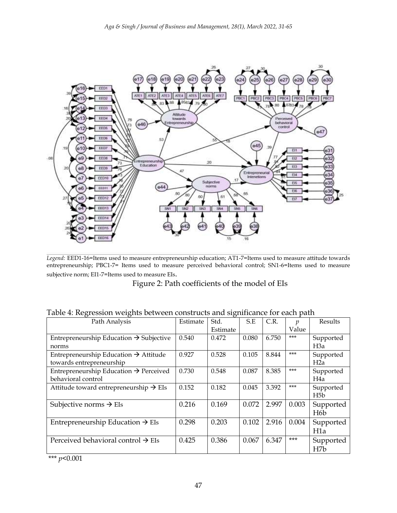

*Legend:* EED1-16=Items used to measure entrepreneurship education; AT1-7=Items used to measure attitude towards entrepreneurship; PBC1-7= Items used to measure perceived behavioral control; SN1-6=Items used to measure subjective norm; EI1-7=Items used to measure EIs.

Figure 2: Path coefficients of the model of EIs

| Path Analysis                                                                 | Estimate | $\cdot$<br>Std. | S.E   | C.R.  | $\mathcal{D}$ | Results                       |
|-------------------------------------------------------------------------------|----------|-----------------|-------|-------|---------------|-------------------------------|
|                                                                               |          | Estimate        |       |       | Value         |                               |
| Entrepreneurship Education $\rightarrow$ Subjective<br>norms                  | 0.540    | 0.472           | 0.080 | 6.750 | $***$         | Supported<br>H <sub>3</sub> a |
| Entrepreneurship Education $\rightarrow$ Attitude<br>towards entrepreneurship | 0.927    | 0.528           | 0.105 | 8.844 | $***$         | Supported<br>H <sub>2</sub> a |
| Entrepreneurship Education $\rightarrow$ Perceived<br>behavioral control      | 0.730    | 0.548           | 0.087 | 8.385 | $***$         | Supported<br>H4a              |
| Attitude toward entrepreneurship $\rightarrow$ EIs                            | 0.152    | 0.182           | 0.045 | 3.392 | $***$         | Supported<br>H <sub>5</sub> b |
| Subjective norms $\rightarrow$ EIs                                            | 0.216    | 0.169           | 0.072 | 2.997 | 0.003         | Supported<br>H <sub>6</sub> b |
| Entrepreneurship Education $\rightarrow$ EIs                                  | 0.298    | 0.203           | 0.102 | 2.916 | 0.004         | Supported<br>H <sub>1</sub> a |
| Perceived behavioral control $\rightarrow$ EIs                                | 0.425    | 0.386           | 0.067 | 6.347 | $***$         | Supported<br>H <sub>7</sub> b |

Table 4: Regression weights between constructs and significance for each path

\*\*\* *p<*0.001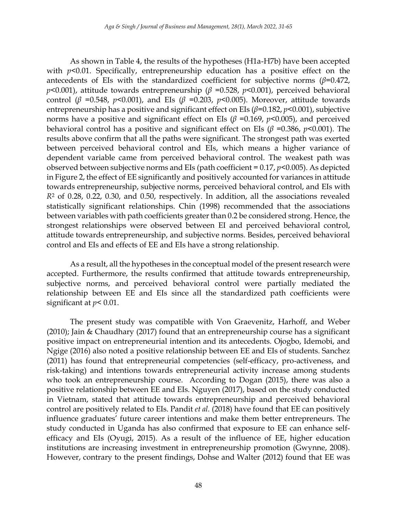As shown in Table 4, the results of the hypotheses (H1a-H7b) have been accepted with *p<*0.01. Specifically, entrepreneurship education has a positive effect on the antecedents of EIs with the standardized coefficient for subjective norms  $(\beta=0.472)$ , *p<*0.001), attitude towards entrepreneurship (*β* =0.528, *p<*0.001), perceived behavioral control (*β* = 0.548, *p*<0.001), and EIs (*β* = 0.203, *p*<0.005). Moreover, attitude towards entrepreneurship has a positive and significant effect on EIs (*β*=0.182, *p<*0.001), subjective norms have a positive and significant effect on EIs (*β* =0.169, *p<*0.005), and perceived behavioral control has a positive and significant effect on EIs (*β* =0.386, *p<*0.001). The results above confirm that all the paths were significant. The strongest path was exerted between perceived behavioral control and EIs, which means a higher variance of dependent variable came from perceived behavioral control. The weakest path was observed between subjective norms and EIs (path coefficient = 0.17, *p<*0.005). As depicted in Figure 2, the effect of EE significantly and positively accounted for variances in attitude towards entrepreneurship, subjective norms, perceived behavioral control, and EIs with *R*<sup>2</sup> of 0.28, 0.22, 0.30, and 0.50, respectively. In addition, all the associations revealed statistically significant relationships. Chin (1998) recommended that the associations between variables with path coefficients greater than 0.2 be considered strong. Hence, the strongest relationships were observed between EI and perceived behavioral control, attitude towards entrepreneurship, and subjective norms. Besides, perceived behavioral control and EIs and effects of EE and EIs have a strong relationship.

As a result, all the hypotheses in the conceptual model of the present research were accepted. Furthermore, the results confirmed that attitude towards entrepreneurship, subjective norms, and perceived behavioral control were partially mediated the relationship between EE and EIs since all the standardized path coefficients were significant at *p<* 0.01.

The present study was compatible with Von Graevenitz, Harhoff, and Weber (2010); Jain & Chaudhary (2017) found that an entrepreneurship course has a significant positive impact on entrepreneurial intention and its antecedents. Ojogbo, Idemobi, and Ngige (2016) also noted a positive relationship between EE and EIs of students. Sanchez (2011) has found that entrepreneurial competencies (self-efficacy, pro-activeness, and risk-taking) and intentions towards entrepreneurial activity increase among students who took an entrepreneurship course. According to Dogan (2015), there was also a positive relationship between EE and EIs. Nguyen (2017), based on the study conducted in Vietnam, stated that attitude towards entrepreneurship and perceived behavioral control are positively related to EIs. Pandit *et al.* (2018) have found that EE can positively influence graduates' future career intentions and make them better entrepreneurs. The study conducted in Uganda has also confirmed that exposure to EE can enhance selfefficacy and EIs (Oyugi, 2015). As a result of the influence of EE, higher education institutions are increasing investment in entrepreneurship promotion (Gwynne, 2008). However, contrary to the present findings, Dohse and Walter (2012) found that EE was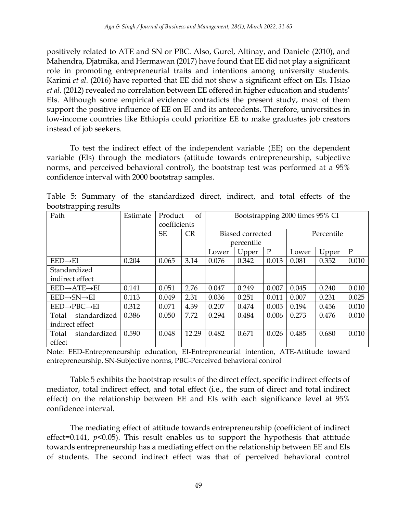positively related to ATE and SN or PBC. Also, Gurel, Altinay, and Daniele (2010), and Mahendra, Djatmika, and Hermawan (2017) have found that EE did not play a significant role in promoting entrepreneurial traits and intentions among university students. Karimi *et al.* (2016) have reported that EE did not show a significant effect on EIs. Hsiao *et al.* (2012) revealed no correlation between EE offered in higher education and students' EIs. Although some empirical evidence contradicts the present study, most of them support the positive influence of EE on EI and its antecedents. Therefore, universities in low-income countries like Ethiopia could prioritize EE to make graduates job creators instead of job seekers.

To test the indirect effect of the independent variable (EE) on the dependent variable (EIs) through the mediators (attitude towards entrepreneurship, subjective norms, and perceived behavioral control), the bootstrap test was performed at a 95% confidence interval with 2000 bootstrap samples.

| boototrapping resume                 |          |              |           |                                 |       |             |            |       |       |
|--------------------------------------|----------|--------------|-----------|---------------------------------|-------|-------------|------------|-------|-------|
| Path                                 | Estimate | Product      | of        | Bootstrapping 2000 times 95% CI |       |             |            |       |       |
|                                      |          | coefficients |           |                                 |       |             |            |       |       |
|                                      |          | SE           | <b>CR</b> | Biased corrected                |       |             | Percentile |       |       |
|                                      |          |              |           | percentile                      |       |             |            |       |       |
|                                      |          |              |           | Lower                           | Upper | $\mathbf P$ | Lower      | Upper | P     |
| $EED \rightarrow EI$                 | 0.204    | 0.065        | 3.14      | 0.076                           | 0.342 | 0.013       | 0.081      | 0.352 | 0.010 |
| Standardized                         |          |              |           |                                 |       |             |            |       |       |
| indirect effect                      |          |              |           |                                 |       |             |            |       |       |
| $EED \rightarrow ATE \rightarrow EI$ | 0.141    | 0.051        | 2.76      | 0.047                           | 0.249 | 0.007       | 0.045      | 0.240 | 0.010 |
| $EED \rightarrow SN \rightarrow EI$  | 0.113    | 0.049        | 2.31      | 0.036                           | 0.251 | 0.011       | 0.007      | 0.231 | 0.025 |
| $EED \rightarrow PBC \rightarrow EI$ | 0.312    | 0.071        | 4.39      | 0.207                           | 0.474 | 0.005       | 0.194      | 0.456 | 0.010 |
| standardized<br>Total                | 0.386    | 0.050        | 7.72      | 0.294                           | 0.484 | 0.006       | 0.273      | 0.476 | 0.010 |
| indirect effect                      |          |              |           |                                 |       |             |            |       |       |
| standardized<br>Total                | 0.590    | 0.048        | 12.29     | 0.482                           | 0.671 | 0.026       | 0.485      | 0.680 | 0.010 |
| effect                               |          |              |           |                                 |       |             |            |       |       |

Table 5: Summary of the standardized direct, indirect, and total effects of the  $b$ ootstrapping results

Note: EED-Entrepreneurship education, EI-Entrepreneurial intention, ATE-Attitude toward entrepreneurship, SN-Subjective norms, PBC-Perceived behavioral control

Table 5 exhibits the bootstrap results of the direct effect, specific indirect effects of mediator, total indirect effect, and total effect (i.e., the sum of direct and total indirect effect) on the relationship between EE and EIs with each significance level at 95% confidence interval.

The mediating effect of attitude towards entrepreneurship (coefficient of indirect effect=0.141, *p<*0.05). This result enables us to support the hypothesis that attitude towards entrepreneurship has a mediating effect on the relationship between EE and EIs of students. The second indirect effect was that of perceived behavioral control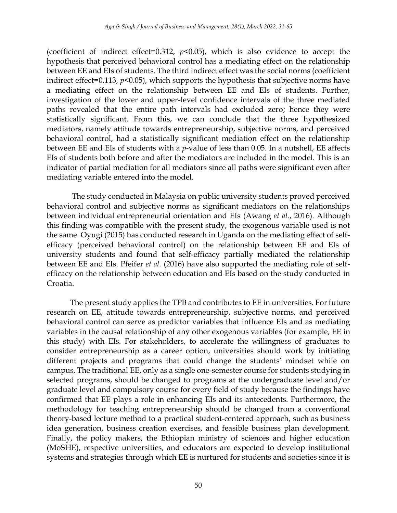(coefficient of indirect effect=0.312, *p<*0.05), which is also evidence to accept the hypothesis that perceived behavioral control has a mediating effect on the relationship between EE and EIs of students. The third indirect effect was the social norms (coefficient indirect effect=0.113, *p<*0.05), which supports the hypothesis that subjective norms have a mediating effect on the relationship between EE and EIs of students. Further, investigation of the lower and upper-level confidence intervals of the three mediated paths revealed that the entire path intervals had excluded zero; hence they were statistically significant. From this, we can conclude that the three hypothesized mediators, namely attitude towards entrepreneurship, subjective norms, and perceived behavioral control, had a statistically significant mediation effect on the relationship between EE and EIs of students with a *p*-value of less than 0.05. In a nutshell, EE affects EIs of students both before and after the mediators are included in the model. This is an indicator of partial mediation for all mediators since all paths were significant even after mediating variable entered into the model.

The study conducted in Malaysia on public university students proved perceived behavioral control and subjective norms as significant mediators on the relationships between individual entrepreneurial orientation and EIs (Awang *et al.*, 2016). Although this finding was compatible with the present study, the exogenous variable used is not the same. Oyugi (2015) has conducted research in Uganda on the mediating effect of selfefficacy (perceived behavioral control) on the relationship between EE and EIs of university students and found that self-efficacy partially mediated the relationship between EE and EIs. Pfeifer *et al.* (2016) have also supported the mediating role of selfefficacy on the relationship between education and EIs based on the study conducted in Croatia.

The present study applies the TPB and contributes to EE in universities. For future research on EE, attitude towards entrepreneurship, subjective norms, and perceived behavioral control can serve as predictor variables that influence EIs and as mediating variables in the causal relationship of any other exogenous variables (for example, EE in this study) with EIs. For stakeholders, to accelerate the willingness of graduates to consider entrepreneurship as a career option, universities should work by initiating different projects and programs that could change the students' mindset while on campus. The traditional EE, only as a single one-semester course for students studying in selected programs, should be changed to programs at the undergraduate level and/or graduate level and compulsory course for every field of study because the findings have confirmed that EE plays a role in enhancing EIs and its antecedents. Furthermore, the methodology for teaching entrepreneurship should be changed from a conventional theory-based lecture method to a practical student-centered approach, such as business idea generation, business creation exercises, and feasible business plan development. Finally, the policy makers, the Ethiopian ministry of sciences and higher education (MoSHE), respective universities, and educators are expected to develop institutional systems and strategies through which EE is nurtured for students and societies since it is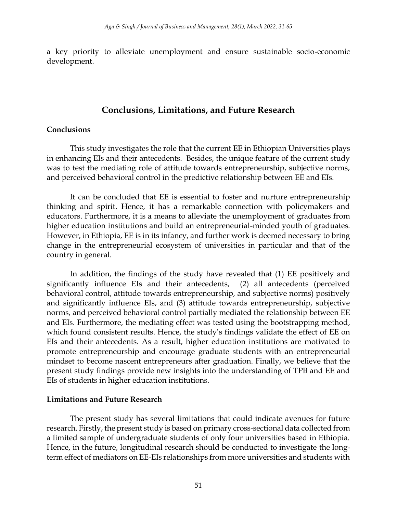a key priority to alleviate unemployment and ensure sustainable socio-economic development.

# **Conclusions, Limitations, and Future Research**

#### **Conclusions**

This study investigates the role that the current EE in Ethiopian Universities plays in enhancing EIs and their antecedents. Besides, the unique feature of the current study was to test the mediating role of attitude towards entrepreneurship, subjective norms, and perceived behavioral control in the predictive relationship between EE and EIs.

It can be concluded that EE is essential to foster and nurture entrepreneurship thinking and spirit. Hence, it has a remarkable connection with policymakers and educators. Furthermore, it is a means to alleviate the unemployment of graduates from higher education institutions and build an entrepreneurial-minded youth of graduates. However, in Ethiopia, EE is in its infancy, and further work is deemed necessary to bring change in the entrepreneurial ecosystem of universities in particular and that of the country in general.

In addition, the findings of the study have revealed that (1) EE positively and significantly influence EIs and their antecedents, (2) all antecedents (perceived behavioral control, attitude towards entrepreneurship, and subjective norms) positively and significantly influence EIs, and (3) attitude towards entrepreneurship, subjective norms, and perceived behavioral control partially mediated the relationship between EE and EIs. Furthermore, the mediating effect was tested using the bootstrapping method, which found consistent results. Hence, the study's findings validate the effect of EE on EIs and their antecedents. As a result, higher education institutions are motivated to promote entrepreneurship and encourage graduate students with an entrepreneurial mindset to become nascent entrepreneurs after graduation. Finally, we believe that the present study findings provide new insights into the understanding of TPB and EE and EIs of students in higher education institutions.

## **Limitations and Future Research**

The present study has several limitations that could indicate avenues for future research. Firstly, the present study is based on primary cross-sectional data collected from a limited sample of undergraduate students of only four universities based in Ethiopia. Hence, in the future, longitudinal research should be conducted to investigate the longterm effect of mediators on EE-EIs relationships from more universities and students with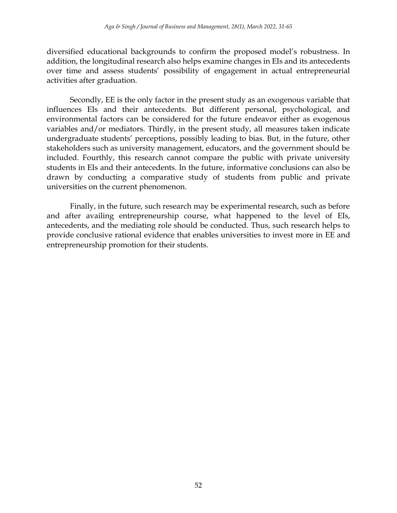diversified educational backgrounds to confirm the proposed model's robustness. In addition, the longitudinal research also helps examine changes in EIs and its antecedents over time and assess students' possibility of engagement in actual entrepreneurial activities after graduation.

Secondly, EE is the only factor in the present study as an exogenous variable that influences EIs and their antecedents. But different personal, psychological, and environmental factors can be considered for the future endeavor either as exogenous variables and/or mediators. Thirdly, in the present study, all measures taken indicate undergraduate students' perceptions, possibly leading to bias. But, in the future, other stakeholders such as university management, educators, and the government should be included. Fourthly, this research cannot compare the public with private university students in EIs and their antecedents. In the future, informative conclusions can also be drawn by conducting a comparative study of students from public and private universities on the current phenomenon.

Finally, in the future, such research may be experimental research, such as before and after availing entrepreneurship course, what happened to the level of EIs, antecedents, and the mediating role should be conducted. Thus, such research helps to provide conclusive rational evidence that enables universities to invest more in EE and entrepreneurship promotion for their students.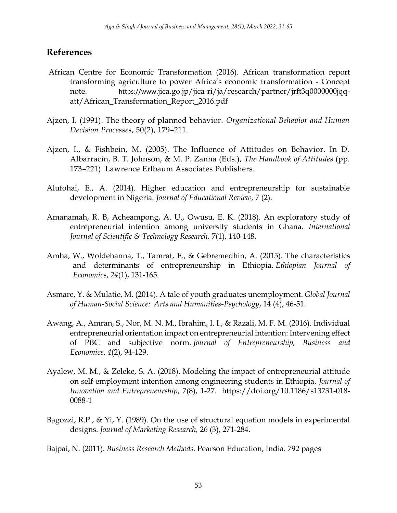# **References**

- African Centre for Economic Transformation (2016). African transformation report transforming agriculture to power Africa's economic transformation - Concept note. https://www.[jica.go.jp/jica-ri/ja/research/partner/jrft3q0000000jqq](https://www.jica.go.jp/jica-ri/ja/research/partner/jrft3q0000000jqq-att/African_Transformation_Report_2016.pdf)[att/African\\_Transformation\\_Report\\_2016.pdf](https://www.jica.go.jp/jica-ri/ja/research/partner/jrft3q0000000jqq-att/African_Transformation_Report_2016.pdf)
- Ajzen, I. (1991). The theory of planned behavior. *Organizational Behavior and Human Decision Processes*, 50(2), 179–211.
- Ajzen, I., & Fishbein, M. (2005). The Influence of Attitudes on Behavior. In D. Albarracín, B. T. Johnson, & M. P. Zanna (Eds.), *The Handbook of Attitudes* (pp. 173–221). Lawrence Erlbaum Associates Publishers.
- Alufohai, E., A. (2014). Higher education and entrepreneurship for sustainable development in Nigeria. *Journal of Educational Review,* 7 (2).
- Amanamah, R. B, Acheampong, A. U., Owusu, E. K. (2018). An exploratory study of entrepreneurial intention among university students in Ghana. *International Journal of Scientific & Technology Research,* 7(1), 140-148.
- Amha, W., Woldehanna, T., Tamrat, E., & Gebremedhin, A. (2015). The characteristics and determinants of entrepreneurship in Ethiopia. *Ethiopian Journal of Economics*, *24*(1), 131-165.
- Asmare, Y. & Mulatie, M. (2014). A tale of youth graduates unemployment. *Global Journal of Human-Social Science: Arts and Humanities-Psychology*, 14 (4), 46-51.
- Awang, A., Amran, S., Nor, M. N. M., Ibrahim, I. I., & Razali, M. F. M. (2016). Individual entrepreneurial orientation impact on entrepreneurial intention: Intervening effect of PBC and subjective norm. *Journal of Entrepreneurship, Business and Economics*, *4*(2), 94-129.
- Ayalew, M. M., & Zeleke, S. A. (2018). Modeling the impact of entrepreneurial attitude on self-employment intention among engineering students in Ethiopia. *Journal of Innovation and Entrepreneurship*, 7(8), 1-27. [https://doi.org/10.1186/s13731-018-](https://doi.org/10.1186/s13731-018-0088-1) [0088-1](https://doi.org/10.1186/s13731-018-0088-1)
- Bagozzi, R.P., & Yi, Y. (1989). On the use of structural equation models in experimental designs. *Journal of Marketing Research,* 26 (3), 271-284.
- Bajpai, N. (2011). *Business Research Methods*. Pearson Education, India. 792 pages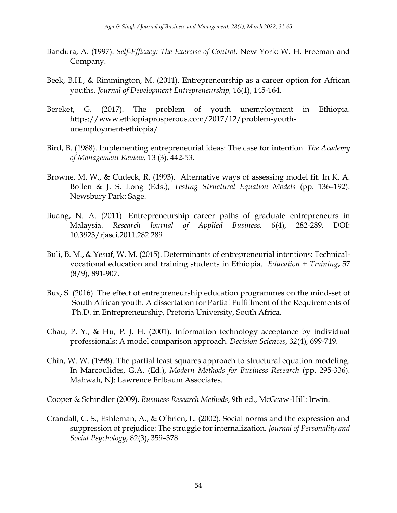- Bandura, A. (1997). *Self-Efficacy: The Exercise of Control*. New York: W. H. Freeman and Company.
- Beek, B.H., & Rimmington, M. (2011). Entrepreneurship as a career option for African youths*. Journal of Development Entrepreneurship,* 16(1), 145-164.
- Bereket, G. (2017). The problem of youth unemployment in Ethiopia. [https://www.ethiopiaprosperous.com/2017/12/problem-youth](https://www.ethiopiaprosperous.com/2017/12/problem-youth-unemployment-ethiopia/)[unemployment-ethiopia/](https://www.ethiopiaprosperous.com/2017/12/problem-youth-unemployment-ethiopia/)
- Bird, B. (1988). Implementing entrepreneurial ideas: The case for intention. *The Academy of Management Review,* 13 (3), 442-53.
- Browne, M. W., & Cudeck, R. (1993). Alternative ways of assessing model fit. In K. A. Bollen & J. S. Long (Eds.), *Testing Structural Equation Models* (pp. 136–192). Newsbury Park: Sage.
- Buang, N. A. (2011). Entrepreneurship career paths of graduate entrepreneurs in Malaysia. *Research Journal of Applied Business,* 6(4), 282-289. DOI: 10.3923/rjasci.2011.282.289
- Buli, B. M., & Yesuf, W. M. (2015). Determinants of entrepreneurial intentions: Technicalvocational education and training students in Ethiopia. *Education + Training*, 57 (8/9), 891-907.
- Bux, S. (2016). The effect of entrepreneurship education programmes on the mind-set of South African youth. A dissertation for Partial Fulfillment of the Requirements of Ph.D. in Entrepreneurship, Pretoria University, South Africa.
- Chau, P. Y., & Hu, P. J. H. (2001). Information technology acceptance by individual professionals: A model comparison approach. *Decision Sciences*, *32*(4), 699-719.
- Chin, W. W. (1998). The partial least squares approach to structural equation modeling. In Marcoulides, G.A. (Ed.), *Modern Methods for Business Research* (pp. 295-336). Mahwah, NJ: Lawrence Erlbaum Associates.

Cooper & Schindler (2009). *Business Research Methods*, 9th ed., McGraw-Hill: Irwin.

Crandall, C. S., Eshleman, A., & O'brien, L. (2002). Social norms and the expression and suppression of prejudice: The struggle for internalization. *Journal of Personality and Social Psychology,* 82(3), 359–378.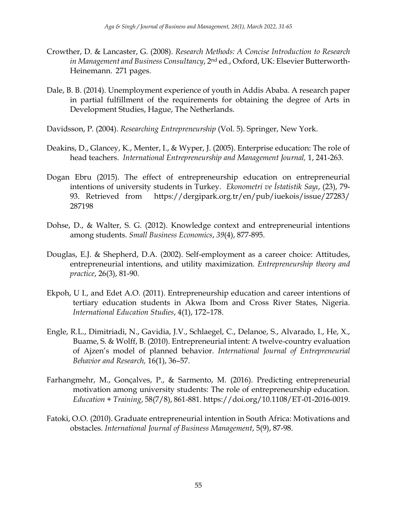- Crowther, D. & Lancaster, G. (2008). *Research Methods: A Concise Introduction to Research in Management and Business Consultancy*, 2nd ed., Oxford, UK: Elsevier Butterworth-Heinemann. 271 pages.
- Dale, B. B. (2014). Unemployment experience of youth in Addis Ababa. A research paper in partial fulfillment of the requirements for obtaining the degree of Arts in Development Studies, Hague, The Netherlands.
- Davidsson, P. (2004). *Researching Entrepreneurship* (Vol. 5). Springer, New York.
- Deakins, D., Glancey, K., Menter, I., & Wyper, J. (2005). Enterprise education: The role of head teachers. *International Entrepreneurship and Management Journal,* 1, 241-263.
- Dogan Ebru (2015). The effect of entrepreneurship education on entrepreneurial intentions of university students in Turkey. *Ekonometri ve İstatistik Sayı*, (23), 79- 93. Retrieved from [https://dergipark.org.tr/en/pub/iuekois/issue/27283/](https://dergipark.org.tr/en/pub/iuekois/issue/27283/%20287198)  [287198](https://dergipark.org.tr/en/pub/iuekois/issue/27283/%20287198)
- Dohse, D., & Walter, S. G. (2012). Knowledge context and entrepreneurial intentions among students. *Small Business Economics*, *39*(4), 877-895.
- Douglas, E.J. & Shepherd, D.A. (2002). Self-employment as a career choice: Attitudes, entrepreneurial intentions, and utility maximization. *Entrepreneurship theory and practice*, 26(3), 81-90.
- Ekpoh, U I., and Edet A.O. (2011). Entrepreneurship education and career intentions of tertiary education students in Akwa Ibom and Cross River States, Nigeria. *International Education Studies*, 4(1), 172–178.
- Engle, R.L., Dimitriadi, N., Gavidia, J.V., Schlaegel, C., Delanoe, S., Alvarado, I., He, X., Buame, S. & Wolff, B. (2010). Entrepreneurial intent: A twelve‐country evaluation of Ajzen's model of planned behavior. *International Journal of Entrepreneurial Behavior and Research,* 16(1), 36–57.
- Farhangmehr, M., Gonçalves, P., & Sarmento, M. (2016). Predicting entrepreneurial motivation among university students: The role of entrepreneurship education. *Education + Training*, 58(7/8), 861-881. [https://doi.org/10.1108/ET-01-2016-0019.](https://doi.org/10.1108/ET-01-2016-0019)
- Fatoki, O.O. (2010). Graduate entrepreneurial intention in South Africa: Motivations and obstacles. *International Journal of Business Management*, 5(9), 87-98.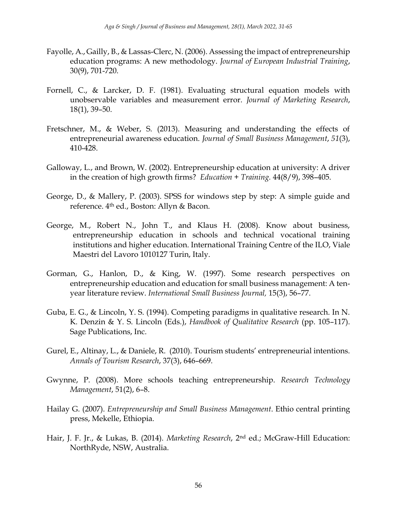- Fayolle, A., Gailly, B., & Lassas-Clerc, N. (2006). Assessing the impact of entrepreneurship education programs: A new methodology. *Journal of European Industrial Training*, 30(9), 701-720.
- Fornell, C., & Larcker, D. F. (1981). Evaluating structural equation models with unobservable variables and measurement error. *Journal of Marketing Research*, 18(1), 39–50.
- Fretschner, M., & Weber, S. (2013). Measuring and understanding the effects of entrepreneurial awareness education. *Journal of Small Business Management*, *51*(3), 410-428.
- Galloway, L., and Brown, W. (2002). Entrepreneurship education at university: A driver in the creation of high growth firms? *Education + Training.* 44(8/9), 398–405.
- George, D., & Mallery, P. (2003). SPSS for windows step by step: A simple guide and reference. 4th ed., Boston: Allyn & Bacon.
- George, M., Robert N., John T., and Klaus H. (2008). Know about business, entrepreneurship education in schools and technical vocational training institutions and higher education. International Training Centre of the ILO, Viale Maestri del Lavoro 1010127 Turin, Italy.
- Gorman, G., Hanlon, D., & King, W. (1997). Some research perspectives on entrepreneurship education and education for small business management: A tenyear literature review. *International Small Business Journal,* 15(3), 56–77.
- Guba, E. G., & Lincoln, Y. S. (1994). Competing paradigms in qualitative research. In N. K. Denzin & Y. S. Lincoln (Eds.), *Handbook of Qualitative Research* (pp. 105–117). Sage Publications, Inc.
- Gurel, E., Altinay, L., & Daniele, R. (2010). Tourism students' entrepreneurial intentions. *Annals of Tourism Research*, 37(3), 646–669.
- Gwynne, P. (2008). More schools teaching entrepreneurship. *Research Technology Management*, 51(2), 6–8.
- Hailay G. (2007). *Entrepreneurship and Small Business Management*. Ethio central printing press, Mekelle, Ethiopia.
- Hair, J. F. Jr., & Lukas, B. (2014). *Marketing Research*, 2nd ed.; McGraw-Hill Education: NorthRyde, NSW, Australia.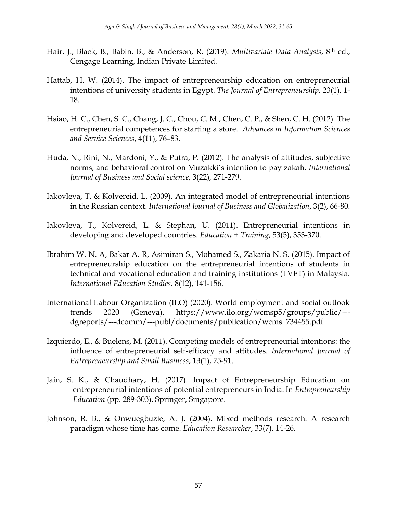- Hair, J., Black, B., Babin, B., & Anderson, R. (2019). *Multivariate Data Analysis*, 8th ed., Cengage Learning, Indian Private Limited.
- Hattab, H. W. (2014). The impact of entrepreneurship education on entrepreneurial intentions of university students in Egypt. *The Journal of Entrepreneurship,* 23(1), 1- 18.
- Hsiao, H. C., Chen, S. C., Chang, J. C., Chou, C. M., Chen, C. P., & Shen, C. H. (2012). The entrepreneurial competences for starting a store. *Advances in Information Sciences and Service Sciences*, 4(11), 76–83.
- Huda, N., Rini, N., Mardoni, Y., & Putra, P. (2012). The analysis of attitudes, subjective norms, and behavioral control on Muzakki's intention to pay zakah. *International Journal of Business and Social science*, 3(22), 271-279.
- Iakovleva, T. & Kolvereid, L. (2009). An integrated model of entrepreneurial intentions in the Russian context. *International Journal of Business and Globalization*, 3(2), 66-80.
- Iakovleva, T., Kolvereid, L. & Stephan, U. (2011). Entrepreneurial intentions in developing and developed countries. *Education + Training*, 53(5), 353-370.
- Ibrahim W. N. A, Bakar A. R, Asimiran S., Mohamed S., Zakaria N. S. (2015). Impact of entrepreneurship education on the entrepreneurial intentions of students in technical and vocational education and training institutions (TVET) in Malaysia. *International Education Studies,* 8(12), 141-156.
- International Labour Organization (ILO) (2020). World employment and social outlook trends 2020 (Geneva). [https://www.ilo.org/wcmsp5/groups/public/--](https://www.ilo.org/wcmsp5/groups/public/---dgreports/---dcomm/---publ/documents/publication/wcms_734455.pdf) [dgreports/---dcomm/---publ/documents/publication/wcms\\_734455.pdf](https://www.ilo.org/wcmsp5/groups/public/---dgreports/---dcomm/---publ/documents/publication/wcms_734455.pdf)
- Izquierdo, E., & Buelens, M. (2011). Competing models of entrepreneurial intentions: the influence of entrepreneurial self-efficacy and attitudes. *International Journal of Entrepreneurship and Small Business*, 13(1), 75-91.
- Jain, S. K., & Chaudhary, H. (2017). Impact of Entrepreneurship Education on entrepreneurial intentions of potential entrepreneurs in India. In *Entrepreneurship Education* (pp. 289-303). Springer, Singapore.
- Johnson, R. B., & Onwuegbuzie, A. J. (2004). Mixed methods research: A research paradigm whose time has come. *Education Researcher*, 33(7), 14-26.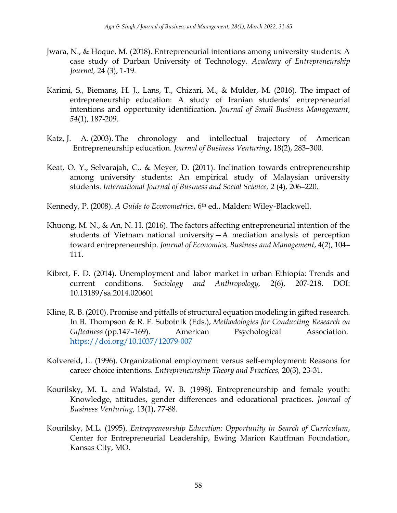- Jwara, N., & Hoque, M. (2018). Entrepreneurial intentions among university students: A case study of Durban University of Technology. *Academy of Entrepreneurship Journal,* 24 (3), 1-19.
- Karimi, S., Biemans, H. J., Lans, T., Chizari, M., & Mulder, M. (2016). The impact of entrepreneurship education: A study of Iranian students' entrepreneurial intentions and opportunity identification. *Journal of Small Business Management*, *54*(1), 187-209.
- Katz, J. A. (2003). The chronology and intellectual trajectory of American Entrepreneurship education. *Journal of Business Venturing*, 18(2), 283–300.
- Keat, O. Y., Selvarajah, C., & Meyer, D. (2011). Inclination towards entrepreneurship among university students: An empirical study of Malaysian university students. *International Journal of Business and Social Science,* 2 (4), 206–220.
- Kennedy, P. (2008). *A Guide to Econometrics*, 6<sup>th</sup> ed., Malden: Wiley-Blackwell.
- Khuong, M. N., & An, N. H. (2016). The factors affecting entrepreneurial intention of the students of Vietnam national university—A mediation analysis of perception toward entrepreneurship. *Journal of Economics, Business and Management*, 4(2), 104– 111.
- Kibret, F. D. (2014). Unemployment and labor market in urban Ethiopia: Trends and current conditions. *Sociology and Anthropology,* 2(6), 207-218. DOI: 10.13189/sa.2014.020601
- Kline, R. B. (2010). Promise and pitfalls of structural equation modeling in gifted research. In B. Thompson & R. F. Subotnik (Eds.), *Methodologies for Conducting Research on*  Giftedness (pp.147-169). American Psychological Association. <https://doi.org/10.1037/12079-007>
- Kolvereid, L. (1996). Organizational employment versus self-employment: Reasons for career choice intentions. *Entrepreneurship Theory and Practices,* 20(3), 23-31.
- Kourilsky, M. L. and Walstad, W. B. (1998). Entrepreneurship and female youth: Knowledge, attitudes, gender differences and educational practices. *Journal of Business Venturing,* 13(1), 77-88.
- Kourilsky, M.L. (1995). *Entrepreneurship Education: Opportunity in Search of Curriculum*, Center for Entrepreneurial Leadership, Ewing Marion Kauffman Foundation, Kansas City, MO.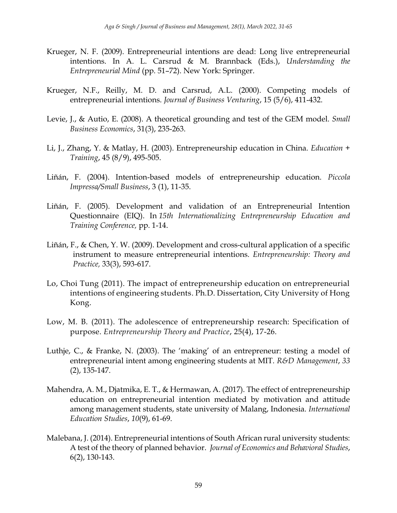- Krueger, N. F. (2009). Entrepreneurial intentions are dead: Long live entrepreneurial intentions. In A. L. Carsrud & M. Brannback (Eds.), *Understanding the Entrepreneurial Mind* (pp. 51–72). New York: Springer.
- Krueger, N.F., Reilly, M. D. and Carsrud, A.L. (2000). Competing models of entrepreneurial intentions. *Journal of Business Venturing*, 15 (5/6), 411-432.
- Levie, J., & Autio, E. (2008). A theoretical grounding and test of the GEM model. *Small Business Economics*, 31(3), 235-263.
- Li, J., Zhang, Y. & Matlay, H. (2003). Entrepreneurship education in China. *Education + Training*, 45 (8/9), 495-505.
- Liñán, F. (2004). Intention-based models of entrepreneurship education. *Piccola Impressa/Small Business*, 3 (1), 11-35.
- Liñán, F. (2005). Development and validation of an Entrepreneurial Intention Questionnaire (EIQ). In *15th Internationalizing Entrepreneurship Education and Training Conference,* pp. 1-14.
- Liñán, F., & Chen, Y. W. (2009). Development and cross-cultural application of a specific instrument to measure entrepreneurial intentions. *Entrepreneurship: Theory and Practice,* 33(3), 593-617.
- Lo, Choi Tung (2011). The impact of entrepreneurship education on entrepreneurial intentions of engineering students. Ph.D. Dissertation, City University of Hong Kong.
- Low, M. B. (2011). The adolescence of entrepreneurship research: Specification of purpose. *Entrepreneurship Theory and Practice*, 25(4), 17-26.
- Luthje, C., & Franke, N. (2003). The 'making' of an entrepreneur: testing a model of entrepreneurial intent among engineering students at MIT. *R&D Management*, *33* (2), 135-147.
- Mahendra, A. M., Djatmika, E. T., & Hermawan, A. (2017). The effect of entrepreneurship education on entrepreneurial intention mediated by motivation and attitude among management students, state university of Malang, Indonesia. *International Education Studies*, *10*(9), 61-69.
- Malebana, J. (2014). Entrepreneurial intentions of South African rural university students: A test of the theory of planned behavior. *Journal of Economics and Behavioral Studies*, 6(2), 130-143.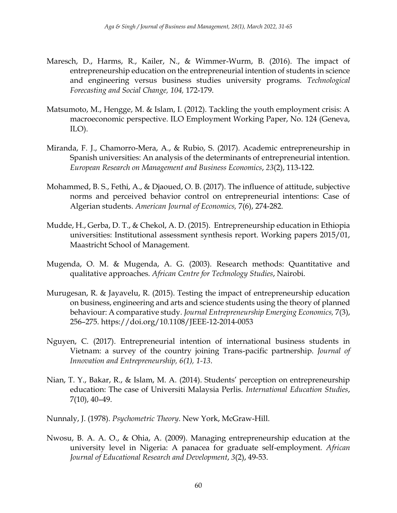- Maresch, D., Harms, R., Kailer, N., & Wimmer-Wurm, B. (2016). The impact of entrepreneurship education on the entrepreneurial intention of students in science and engineering versus business studies university programs. *Technological Forecasting and Social Change, 104,* 172-179.
- Matsumoto, M., Hengge, M. & Islam, I. (2012). Tackling the youth employment crisis: A macroeconomic perspective. ILO Employment Working Paper, No. 124 (Geneva, ILO).
- Miranda, F. J., Chamorro-Mera, A., & Rubio, S. (2017). Academic entrepreneurship in Spanish universities: An analysis of the determinants of entrepreneurial intention. *European Research on Management and Business Economics*, *23*(2), 113-122.
- Mohammed, B. S., Fethi, A., & Djaoued, O. B. (2017). The influence of attitude, subjective norms and perceived behavior control on entrepreneurial intentions: Case of Algerian students. *American Journal of Economics,* 7(6), 274-282.
- Mudde, H., Gerba, D. T., & Chekol, A. D. (2015). Entrepreneurship education in Ethiopia universities: Institutional assessment synthesis report. Working papers 2015/01, Maastricht School of Management.
- Mugenda, O. M. & Mugenda, A. G. (2003). Research methods: Quantitative and qualitative approaches. *African Centre for Technology Studies*, Nairobi.
- Murugesan, R. & Jayavelu, R. (2015). Testing the impact of entrepreneurship education on business, engineering and arts and science students using the theory of planned behaviour: A comparative study*. Journal Entrepreneurship Emerging Economics,* 7(3), 256–275.<https://doi.org/10.1108/JEEE-12-2014-0053>
- Nguyen, C. (2017). Entrepreneurial intention of international business students in Vietnam: a survey of the country joining Trans-pacific partnership. *Journal of Innovation and Entrepreneurship, 6(1), 1-13*.
- Nian, T. Y., Bakar, R., & Islam, M. A. (2014). Students' perception on entrepreneurship education: The case of Universiti Malaysia Perlis. *International Education Studies*, 7(10), 40–49.
- Nunnaly, J. (1978). *Psychometric Theory*. New York, McGraw-Hill.
- Nwosu, B. A. A. O., & Ohia, A. (2009). Managing entrepreneurship education at the university level in Nigeria: A panacea for graduate self-employment. *African Journal of Educational Research and Development*, *3*(2), 49-53.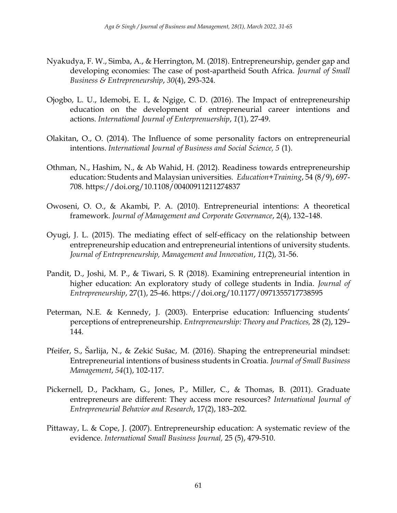- Nyakudya, F. W., Simba, A., & Herrington, M. (2018). Entrepreneurship, gender gap and developing economies: The case of post-apartheid South Africa. *Journal of Small Business & Entrepreneurship*, *30*(4), 293-324.
- Ojogbo, L. U., Idemobi, E. I., & Ngige, C. D. (2016). The Impact of entrepreneurship education on the development of entrepreneurial career intentions and actions. *International Journal of Enterprenuership*, *1*(1), 27-49.
- Olakitan, O., O. (2014). The Influence of some personality factors on entrepreneurial intentions. *International Journal of Business and Social Science, 5* (1).
- Othman, N., Hashim, N., & Ab Wahid, H. (2012). Readiness towards entrepreneurship education: Students and Malaysian universities. *Education+Training*, 54 (8/9), 697- 708.<https://doi.org/10.1108/00400911211274837>
- Owoseni, O. O., & Akambi, P. A. (2010). Entrepreneurial intentions: A theoretical framework. *Journal of Management and Corporate Governance*, 2(4), 132–148.
- Oyugi, J. L. (2015). The mediating effect of self-efficacy on the relationship between entrepreneurship education and entrepreneurial intentions of university students. *Journal of Entrepreneurship, Management and Innovation*, *11*(2), 31-56.
- Pandit, D., Joshi, M. P., & Tiwari, S. R (2018). Examining entrepreneurial intention in higher education: An exploratory study of college students in India. *Journal of Entrepreneurship*, 27(1), 25-46.<https://doi.org/10.1177/0971355717738595>
- Peterman, N.E. & Kennedy, J. (2003). Enterprise education: Influencing students' perceptions of entrepreneurship. *Entrepreneurship: Theory and Practices,* 28 (2), 129– 144.
- Pfeifer, S., Šarlija, N., & Zekić Sušac, M. (2016). Shaping the entrepreneurial mindset: Entrepreneurial intentions of business students in Croatia. *Journal of Small Business Management*, *54*(1), 102-117.
- Pickernell, D., Packham, G., Jones, P., Miller, C., & Thomas, B. (2011). Graduate entrepreneurs are different: They access more resources? *International Journal of Entrepreneurial Behavior and Research*, 17(2), 183–202.
- Pittaway, L. & Cope, J. (2007). Entrepreneurship education: A systematic review of the evidence. *International Small Business Journal,* 25 (5), 479-510.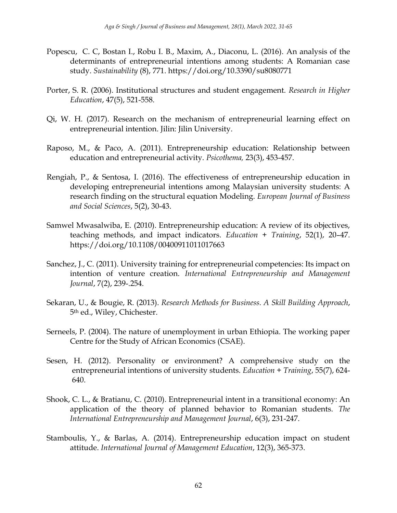- Popescu, C. C, Bostan I., Robu I. B., Maxim, A., Diaconu, L. (2016). An analysis of the determinants of entrepreneurial intentions among students: A Romanian case study. *Sustainability* (8), 771.<https://doi.org/10.3390/su8080771>
- Porter, S. R. (2006). Institutional structures and student engagement. *Research in Higher Education*, 47(5), 521-558.
- Qi, W. H. (2017). Research on the mechanism of entrepreneurial learning effect on entrepreneurial intention. Jilin: Jilin University.
- Raposo, M., & Paco, A. (2011). Entrepreneurship education: Relationship between education and entrepreneurial activity. *Psicothema,* 23(3), 453-457.
- Rengiah, P., & Sentosa, I. (2016). The effectiveness of entrepreneurship education in developing entrepreneurial intentions among Malaysian university students: A research finding on the structural equation Modeling. *European Journal of Business and Social Sciences*, 5(2), 30-43.
- Samwel Mwasalwiba, E. (2010). Entrepreneurship education: A review of its objectives, teaching methods, and impact indicators. *Education + Training*, 52(1), 20–47. <https://doi.org/10.1108/00400911011017663>
- Sanchez, J., C. (2011). University training for entrepreneurial competencies: Its impact on intention of venture creation. *International Entrepreneurship and Management Journal*, 7(2), 239-.254.
- Sekaran, U., & Bougie, R. (2013). *Research Methods for Business. A Skill Building Approach*, 5th ed., Wiley, Chichester.
- Serneels, P. (2004). The nature of unemployment in urban Ethiopia. The working paper Centre for the Study of African Economics (CSAE).
- Sesen, H. (2012). Personality or environment? A comprehensive study on the entrepreneurial intentions of university students. *Education + Training*, 55(7), 624- 640.
- Shook, C. L., & Bratianu, C. (2010). Entrepreneurial intent in a transitional economy: An application of the theory of planned behavior to Romanian students. *The International Entrepreneurship and Management Journal*, 6(3), 231-247.
- Stamboulis, Y., & Barlas, A. (2014). Entrepreneurship education impact on student attitude. *International Journal of Management Education*, 12(3), 365-373.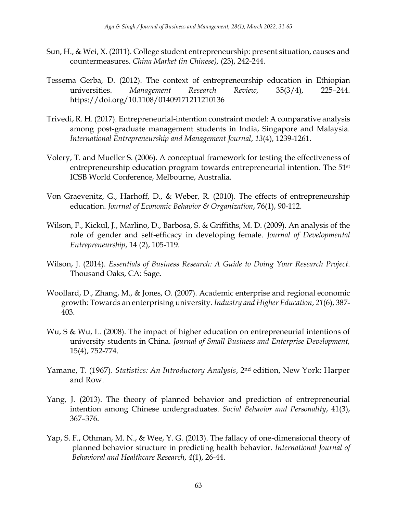- Sun, H., & Wei, X. (2011). College student entrepreneurship: present situation, causes and countermeasures. *China Market (in Chinese),* (23), 242-244.
- Tessema Gerba, D. (2012). The context of entrepreneurship education in Ethiopian universities. *Management Research Review,* 35(3/4), 225–244. <https://doi.org/10.1108/01409171211210136>
- Trivedi, R. H. (2017). Entrepreneurial-intention constraint model: A comparative analysis among post-graduate management students in India, Singapore and Malaysia. *International Entrepreneurship and Management Journal*, *13*(4), 1239-1261.
- Volery, T. and Mueller S. (2006). A conceptual framework for testing the effectiveness of entrepreneurship education program towards entrepreneurial intention. The 51<sup>st</sup> ICSB World Conference, Melbourne, Australia.
- Von Graevenitz, G., Harhoff, D., & Weber, R. (2010). The effects of entrepreneurship education. *Journal of Economic Behavior & Organization*, 76(1), 90-112.
- Wilson, F., Kickul, J., Marlino, D., Barbosa, S. & Griffiths, M. D. (2009). An analysis of the role of gender and self-efficacy in developing female. *Journal of Developmental Entrepreneurship*, 14 (2), 105-119.
- Wilson, J. (2014). *Essentials of Business Research: A Guide to Doing Your Research Project*. Thousand Oaks, CA: Sage.
- Woollard, D., Zhang, M., & Jones, O. (2007). Academic enterprise and regional economic growth: Towards an enterprising university. *Industry and Higher Education*, *21*(6), 387- 403.
- Wu, S & Wu, L. (2008). The impact of higher education on entrepreneurial intentions of university students in China. *Journal of Small Business and Enterprise Development,* 15(4), 752-774.
- Yamane, T. (1967). *Statistics: An Introductory Analysis*, 2nd edition, New York: Harper and Row.
- Yang, J. (2013). The theory of planned behavior and prediction of entrepreneurial intention among Chinese undergraduates. *Social Behavior and Personality*, 41(3), 367–376.
- Yap, S. F., Othman, M. N., & Wee, Y. G. (2013). The fallacy of one-dimensional theory of planned behavior structure in predicting health behavior. *International Journal of Behavioral and Healthcare Research*, *4*(1), 26-44.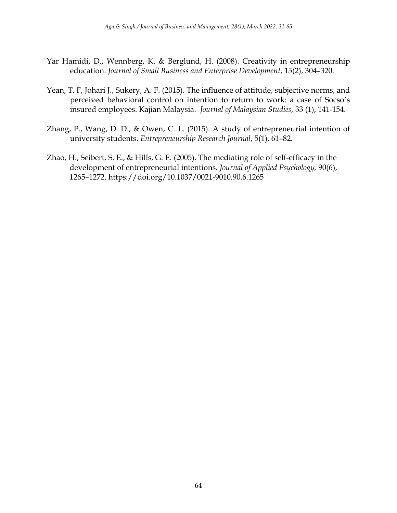- Yar Hamidi, D., Wennberg, K. & Berglund, H. (2008). Creativity in entrepreneurship education. *Journal of Small Business and Enterprise Development*, 15(2), 304–320.
- Yean, T. F, Johari J., Sukery, A. F. (2015). The influence of attitude, subjective norms, and perceived behavioral control on intention to return to work: a case of Socso's insured employees. Kajian Malaysia. *Journal of Malaysian Studies,* 33 (1), 141-154.
- Zhang, P., Wang, D. D., & Owen, C. L. (2015). A study of entrepreneurial intention of university students. *Entrepreneurship Research Journal*, 5(1), 61–82.
- Zhao, H., Seibert, S. E., & Hills, G. E. (2005). The mediating role of self-efficacy in the development of entrepreneurial intentions. *Journal of Applied Psychology,* 90(6), 1265–1272.<https://doi.org/10.1037/0021-9010.90.6.1265>